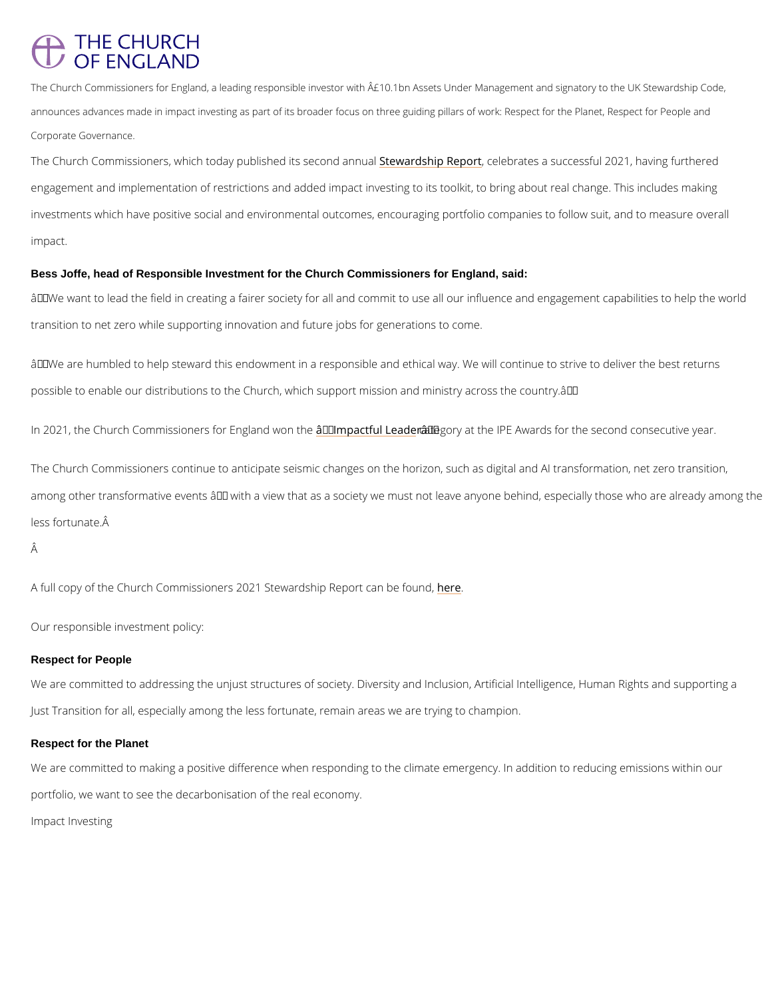## **THE CHURCH** OF ENGLAND

The Church Commissioners for England, a leading responsible investor with  $\hat{\sf A}$ £10.1bn Assets Under Mana announces advances made in impact investing as part of its broader focus on three guiding pillars of wo Corporate Governance.

The Church Commissioners, which today pubsSitsehweadrdshispe Roempedoedonratueas a successful 2021, havi engagement and implementation of restrictions and added impact investing to its toolkit, to b investments which have positive social and environmental outcomes, encouraging portfolio co impact.

 $\hat{a} \in \infty$  We want to lead the field in creating a fairer society for all and commit to use all our in transition to net zero while supporting innovation and future jobs for generations to come.

 $\hat{a} \in \infty$  We are humbled to help steward this endowment in a responsible and ethical way. We wil possible to enable our distributions to the Church, which support mission and ministry acros:

In 2021, the Church Commissioners  $\hat{a}$ o€r̃ IEmpgalanfollwboanaethceorây€ EMt the IPE Awards for the second o

## Bess Joffe, head of Responsible Investment for the Church Commissioners for England, said:

The Church Commissioners continue to anticipate seismic changes on the horizon, such as di among other transformative events  $\hat{a} \in$  "with a view that as a society we must not leave anyor less fortunate.

Â

A full copy of the Church Commissioners 2021 Stewhedship Report can be found,

Our responsible investment policy:

## Respect for People

We are committed to addressing the unjust structures of society. Diversity and Inclusion, Art Just Transition for all, especially among the less fortunate, remain areas we are trying to ch

Respect for the Planet

We are committed to making a positive difference when responding to the climate emergency.

portfolio, we want to see the decarbonisation of the real economy.

Impact Investing